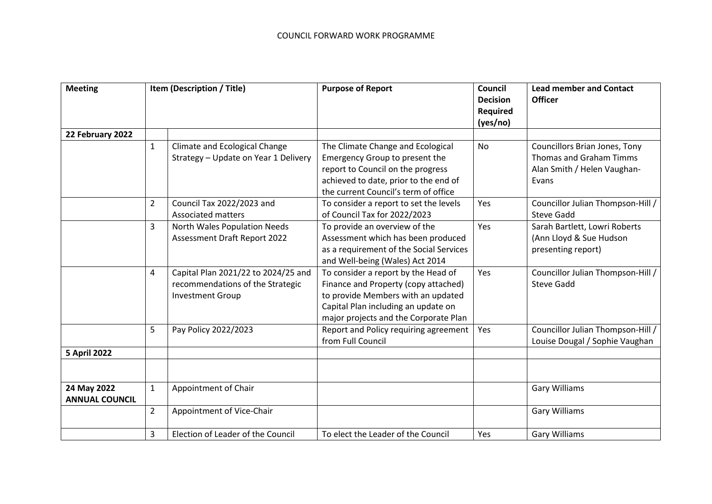| <b>Meeting</b>                       | Item (Description / Title) |                                                                                                    | <b>Purpose of Report</b>                                                                                                                                                                          | Council<br><b>Decision</b><br>Required<br>(yes/no) | <b>Lead member and Contact</b><br><b>Officer</b>                                                 |
|--------------------------------------|----------------------------|----------------------------------------------------------------------------------------------------|---------------------------------------------------------------------------------------------------------------------------------------------------------------------------------------------------|----------------------------------------------------|--------------------------------------------------------------------------------------------------|
| 22 February 2022                     |                            |                                                                                                    |                                                                                                                                                                                                   |                                                    |                                                                                                  |
|                                      | $\mathbf{1}$               | Climate and Ecological Change<br>Strategy - Update on Year 1 Delivery                              | The Climate Change and Ecological<br>Emergency Group to present the<br>report to Council on the progress<br>achieved to date, prior to the end of<br>the current Council's term of office         | <b>No</b>                                          | Councillors Brian Jones, Tony<br>Thomas and Graham Timms<br>Alan Smith / Helen Vaughan-<br>Evans |
|                                      | $\overline{2}$             | Council Tax 2022/2023 and<br><b>Associated matters</b>                                             | To consider a report to set the levels<br>of Council Tax for 2022/2023                                                                                                                            | Yes                                                | Councillor Julian Thompson-Hill /<br><b>Steve Gadd</b>                                           |
|                                      | 3                          | North Wales Population Needs<br><b>Assessment Draft Report 2022</b>                                | To provide an overview of the<br>Assessment which has been produced<br>as a requirement of the Social Services<br>and Well-being (Wales) Act 2014                                                 | Yes                                                | Sarah Bartlett, Lowri Roberts<br>(Ann Lloyd & Sue Hudson<br>presenting report)                   |
|                                      | 4                          | Capital Plan 2021/22 to 2024/25 and<br>recommendations of the Strategic<br><b>Investment Group</b> | To consider a report by the Head of<br>Finance and Property (copy attached)<br>to provide Members with an updated<br>Capital Plan including an update on<br>major projects and the Corporate Plan | Yes                                                | Councillor Julian Thompson-Hill /<br><b>Steve Gadd</b>                                           |
|                                      | 5                          | Pay Policy 2022/2023                                                                               | Report and Policy requiring agreement<br>from Full Council                                                                                                                                        | Yes                                                | Councillor Julian Thompson-Hill /<br>Louise Dougal / Sophie Vaughan                              |
| <b>5 April 2022</b>                  |                            |                                                                                                    |                                                                                                                                                                                                   |                                                    |                                                                                                  |
| 24 May 2022<br><b>ANNUAL COUNCIL</b> | $\mathbf{1}$               | Appointment of Chair                                                                               |                                                                                                                                                                                                   |                                                    | <b>Gary Williams</b>                                                                             |
|                                      | $\overline{2}$             | Appointment of Vice-Chair                                                                          |                                                                                                                                                                                                   |                                                    | <b>Gary Williams</b>                                                                             |
|                                      | 3                          | Election of Leader of the Council                                                                  | To elect the Leader of the Council                                                                                                                                                                | Yes                                                | <b>Gary Williams</b>                                                                             |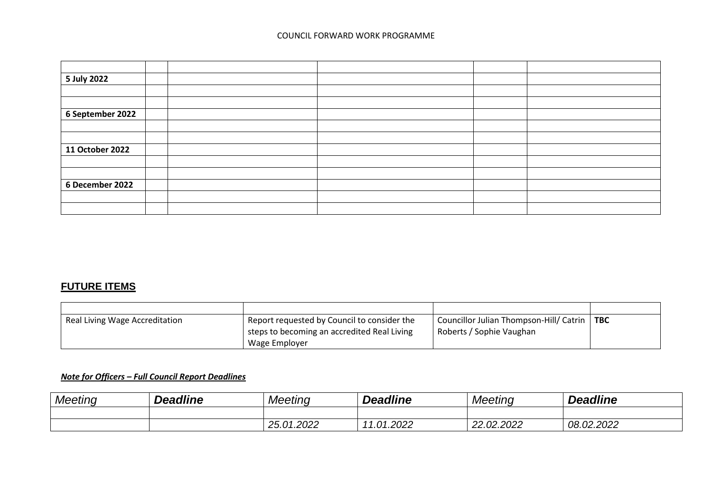## COUNCIL FORWARD WORK PROGRAMME

| 5 July 2022      |  |  |  |
|------------------|--|--|--|
|                  |  |  |  |
|                  |  |  |  |
| 6 September 2022 |  |  |  |
|                  |  |  |  |
|                  |  |  |  |
| 11 October 2022  |  |  |  |
|                  |  |  |  |
|                  |  |  |  |
| 6 December 2022  |  |  |  |
|                  |  |  |  |
|                  |  |  |  |

## **FUTURE ITEMS**

| Real Living Wage Accreditation | Report requested by Council to consider the<br>I steps to becoming an accredited Real Living | Councillor Julian Thompson-Hill/ Catrin   TBC<br>Roberts / Sophie Vaughan |  |
|--------------------------------|----------------------------------------------------------------------------------------------|---------------------------------------------------------------------------|--|
|                                | Wage Employer                                                                                |                                                                           |  |

## *Note for Officers – Full Council Report Deadlines*

| Meeting | <b>Deadline</b> | Meeting    | <b>Deadline</b>            | Meeting               | <b>Deadline</b> |
|---------|-----------------|------------|----------------------------|-----------------------|-----------------|
|         |                 |            |                            |                       |                 |
|         |                 | 25.01.2022 | .01.2022<br>$\overline{ }$ | .02.2022<br>ററ<br>LL. | 08.02.2022      |